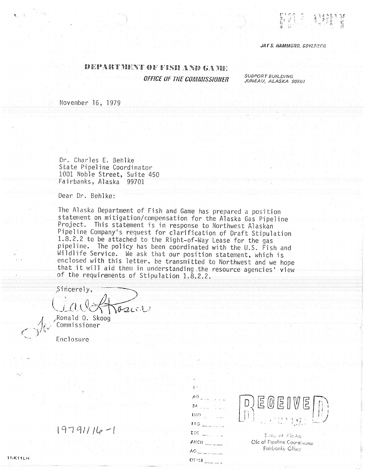## JAY S. HAMMOND, GOVERNOR

## **SDEEP A IS 'T PAUL'N' I' ODR' H' EN SA NED GAA BEEL** OFFICE OF THE COMMISSIONER

**SUBPORT BUILDING** JUNEAU, ALASKA 99801

November 16, 1979

Dr. Charles E. Behlke State Pipeline Coordinator 1001 Noble Street, Suite 450 Fairbanks, Alaska 99701

Dear Dr. Behlke:

The Alaska Department of Fish and Game has prepared a position statement on mitigation/compensation for the Alaska Gas Pipeline Project. This statement is in response to Northwest Alaskan Pipeline Company's request for clarification of Draft Stipulation 1.8.2.2 to be attached to the Right-of-Way Lease for the gas pipeline. The policy has been coordinated with the U.S. Fish and Wildlife Service. We ask that our position statement, which is enclosed with this letter, be transmitted to Northwest and we hope that it will aid them in understanding the resource agencies view of the requirements of Stipulation 1.8.2.2.

Sincerely,  $102001$ 

Ronald O. Skoog Commissioner

Enclosure

## $19791116 - 1$

**11-K11LH** 

| $\mathbf{H}^{\mathbf{A}}$ and $\mathbf{H}^{\mathbf{A}}$                                                                                                                                                                                                                                                                                                                    |
|----------------------------------------------------------------------------------------------------------------------------------------------------------------------------------------------------------------------------------------------------------------------------------------------------------------------------------------------------------------------------|
| AO <sub>- Francesco</sub>                                                                                                                                                                                                                                                                                                                                                  |
| $SN$ and $SN$                                                                                                                                                                                                                                                                                                                                                              |
| $\frac{1}{2}$                                                                                                                                                                                                                                                                                                                                                              |
| 180 <sub>-</sub> 1990                                                                                                                                                                                                                                                                                                                                                      |
| brc<br>$\frac{1}{2} \sum_{i=1}^{n} \frac{1}{2} \left( \frac{1}{2} \sum_{i=1}^{n} \frac{1}{2} \sum_{j=1}^{n} \frac{1}{2} \sum_{j=1}^{n} \frac{1}{2} \sum_{j=1}^{n} \frac{1}{2} \sum_{j=1}^{n} \frac{1}{2} \sum_{j=1}^{n} \frac{1}{2} \sum_{j=1}^{n} \frac{1}{2} \sum_{j=1}^{n} \frac{1}{2} \sum_{j=1}^{n} \frac{1}{2} \sum_{j=1}^{n} \frac{1}{2} \sum_{j=1}^{n} \frac{1}{2$ |
| ANCH                                                                                                                                                                                                                                                                                                                                                                       |
| AC                                                                                                                                                                                                                                                                                                                                                                         |
| OTHER                                                                                                                                                                                                                                                                                                                                                                      |



Sidio of Alaska Ofc of Pipeline Coordinator Fairbonks Office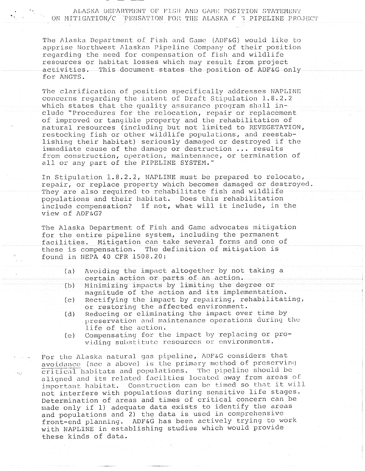ALASKA DEPARTMENT OF FISH AND GAME POSITION STATEMENT ON MITIGATION/C PENSATION FOR THE ALASKA  $C$  ? PIPELINE PROJECT

The Alaska Department of Fish and Game (ADF&G) would like to apprise Northwest Alaskan Pipeline Company of their position regarding the need for compensation of fish and wildlife resources or habitat losses which may result from project activities This document states the position of ADFG only for ANGTS

The clarification of position specifically addresses NAPLINE The clairication of position specifically addresses warding<br>concerns regarding the intent of Draft Stipulation 1.8.2.2<br>which states that the quality assurance program shall inwhich states that the quality assurance program shall in-<br>clude "Procedures for the relocation, repair or replacement of improved or tangible property and the rehabilitation of natural resources (including but not limited to REVEGETATION, restocking fish or other wildlife populations, and reestablishing their habitat) seriously damaged or destroyed if the immediate cause of the damage or destruction  $\ldots$  results from construction, operation, maintenance, or termination of all or any part of the PIPELINE SYSTEM."

In Stipulation 1.8.2.2, NAPLINE must be prepared to relocate, repair, or replace property which becomes damaged or destroyed. They are also required to rehabilitate fish and wildlife populations and their habitat. Does this rehabilitation include compensation? If not, what will it include, in the view of ADF&G?

The Alaska Department of Fish and Game advocates mitigation for the entire pipeline system, including the permanent facilities. Mitigation can take several forms and one of these is compensation. The definition of mitigation is found in NEPA <sup>40</sup> CFR 1508.20

- Avoiding the impact altogether by not taking  $(a)$ certain action or parts of an action
- Minimizing impacts by limiting the degree or  $(b)$ magnitude of the action and its implementation
- Rectifying the impact by repairing, rehabilitating,  $(c)$ or restoring the affected environment.
- (d) Reducing or eliminating the impact over time by preservation and maintenance operations during the life of the action
- Compensating for the impact by replacing or pro  $(e)$ viding substitute resources or environments.

For the Alaska natural gas pipeline, ADF&G considers that avoidance (see a above) is the primary method of preserving critical habitats and populations. The pipeline should be aligned and its related facilties located away from areas of important habitat. Construction can be timed so that it will not interfere with populations during sensitive life stages Determination of areas and times of critical concern can be made only if 1) adequate data exists to identify the areas and populations and 2) the data is used in comprehensive front-end planning. ADF&G has been actively trying to work with NAPLINE in establishing studies which would provide these kinds of data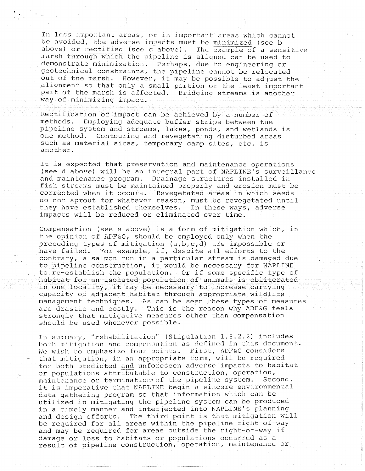In less important areas, or in important areas which cannot be avoided, the adverse impacts must be minimized (see b above) or rectified (see c above). The  $\overline{example}$  of a sensitive marsh through which the pipeline is aliqned can be used to demonstrate minimization. Perhaps, due to engineering or achonstrace minimization. Fernaps, due to engineering of<br>geotechnical constraints, the pipeline cannot be relocated<br>out of the marsh. However, it may be possible to adjust the out of the marsh. However, it may be possible to adjust the<br>alignment so that only a small portion or the least important part of the marsh is affected. Bridging streams is another way of minimizing impact

Rectification of impact can be achieved by a number of methods Employing adequate buffer strips between the pipeline system and streams, lakes, ponds, and wetlands is one method. Contouring and revegetating disturbed areas such as material sites, temporary camp sites, etc. is another

It is expected that preservation and maintenance operations (see d above) will be an integral part of NAPLINE's surveillance and maintenance program. Drainage structures installed in and maintenance program. Drainage structures installed in<br>fish streams must be maintained properly and erosion must be<br>corrected when it occurs. Revegetated areas in which seeds corrected when it occurs. Revegetated areas in which seeds<br>do not sprout for whatever reason, must be revegetated until they have established themselves. In these ways, adverse impacts will be reduced or eliminated over time

Compensation (see e above) is a form of mitigation which, in the opinion of ADF&G, should be employed only when the the opinion of ADF&G, should be employed only when the<br>preceding types of mitigation (a,b,c,d) are impossible or<br>have failed. For example, if, despite all efforts to the nave raried. For example, if, despite all eriorts to the<br>contrary, a salmon run in a particular stream is damaged due<br>to pipeline construction, it would be necessary for NAPLINE to pipeline construction, it would be necessary for NAPLINE<br>to re-establish the population. Or if some specific type of to re-estabilish the population. Of it some specific type of<br>habitat for an isolated population of animals is obliterated<br>in one locality, it may be necessary to increase carrying in one locality, it may be necessary to increase carrying<br>capacity of adjacent habitat through appropriate wildlife management techniques As can be seen these types of measures are drastic and  $costly.$  This is the reason why ADF&G feels strongly that mitigative measures other than compensation should be used whenever possible.

In summary, "rehabilitation" (Stipulation 1.8.2.2) includes hoth mitigation and compensation as defined in this document. We wish to emphasize four points. First,  $\triangle$ DP&G considers that mitigation, in an appropriate form, will be required for both predicted and unforeseen adverse impacts to habitat or populations attributable to construction, operation, maintenance or termination of the pipeline system. Second, it is imperative that NAPLINE begin a sincere environmental data gathering program so that information which can be utilized in mitigating the pipeline system can be produced in a timely manner and interjected into NAPLINE's planning and design efforts. The third point is that mitigation will and design efforts. The thild point is that mitigation wi<br>be required for all areas within the pipeline right-of-way<br>and may be required for areas outside the right-of-way if and may be required for areas outside the right-of-way if<br>damage or loss to habitats or populations occurred as a result of pipeline construction, operation, maintenance or